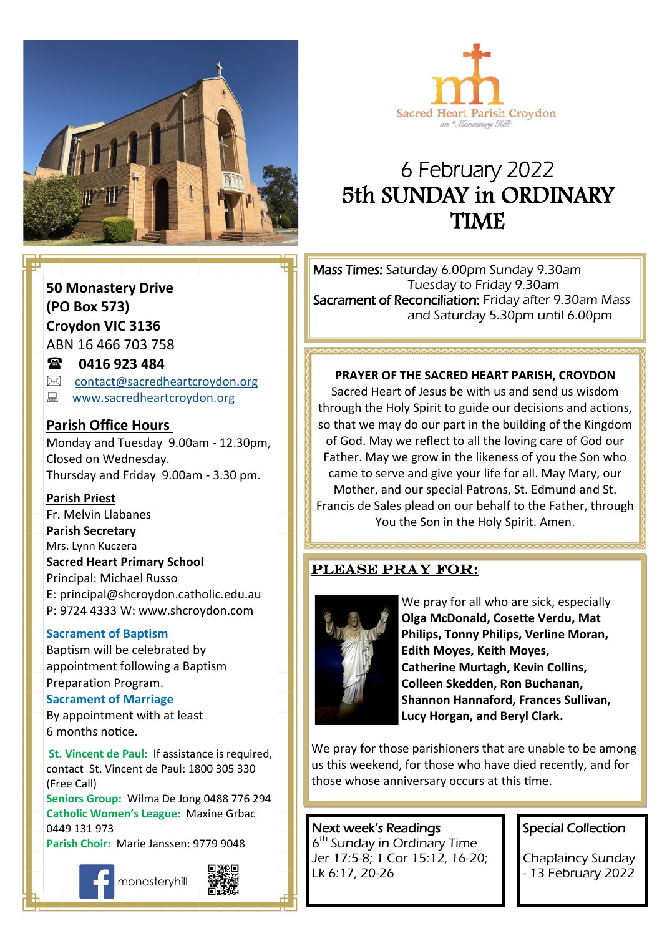



# 6 February 2022 5th SUNDAY in ORDINARY TIME

**50 Monastery Drive (PO Box 573) Croydon VIC 3136** ABN 16 466 703 758

#### **0416 923 484**

 $\boxtimes$  [contact@sacredheartcroydon.org](mailto:contact@sacredheartcroydon.org)

**WWW.sacredheartcroydon.org** 

#### **Parish Office Hours**

Monday and Tuesday 9.00am - 12.30pm, Closed on Wednesday. Thursday and Friday 9.00am - 3.30 pm.

#### **Parish Priest**

Fr. Melvin Llabanes

#### **Parish Secretary**

Mrs. Lynn Kuczera

#### **Sacred Heart Primary School**

Principal: Michael Russo E: principal@shcroydon.catholic.edu.au P: 9724 4333 W: www.shcroydon.com

#### **Sacrament of Baptism**

Baptism will be celebrated by appointment following a Baptism Preparation Program.

#### **Sacrament of Marriage**

By appointment with at least 6 months notice.

 **St. Vincent de Paul:** If assistance is required, contact St. Vincent de Paul: 1800 305 330 (Free Call)

**Seniors Group:** Wilma De Jong 0488 776 294 **Catholic Women's League:** Maxine Grbac 0449 131 973

**Parish Choir:** Marie Janssen: 9779 9048







Mass Times: Saturday 6.00pm Sunday 9.30am Tuesday to Friday 9.30am Sacrament of Reconciliation: Friday after 9.30am Mass and Saturday 5.30pm until 6.00pm

#### **PRAYER OF THE SACRED HEART PARISH, CROYDON**

of God. May we reflect to all the loving care of God our Sacred Heart of Jesus be with us and send us wisdom through the Holy Spirit to guide our decisions and actions, so that we may do our part in the building of the Kingdom Father. May we grow in the likeness of you the Son who came to serve and give your life for all. May Mary, our Mother, and our special Patrons, St. Edmund and St. Francis de Sales plead on our behalf to the Father, through You the Son in the Holy Spirit. Amen.

#### Please pray for:



We pray for all who are sick, especially **Olga McDonald, Cosette Verdu, Mat Philips, Tonny Philips, Verline Moran, Edith Moyes, Keith Moyes, Catherine Murtagh, Kevin Collins, Colleen Skedden, Ron Buchanan, Shannon Hannaford, Frances Sullivan, Lucy Horgan, and Beryl Clark.** 

We pray for those parishioners that are unable to be among us this weekend, for those who have died recently, and for those whose anniversary occurs at this time.

# Next week's Readings

6 th Sunday in Ordinary Time Jer 17:5-8; 1 Cor 15:12, 16-20; Lk 6:17, 20-26

#### Special Collection

Chaplaincy Sunday - 13 February 2022